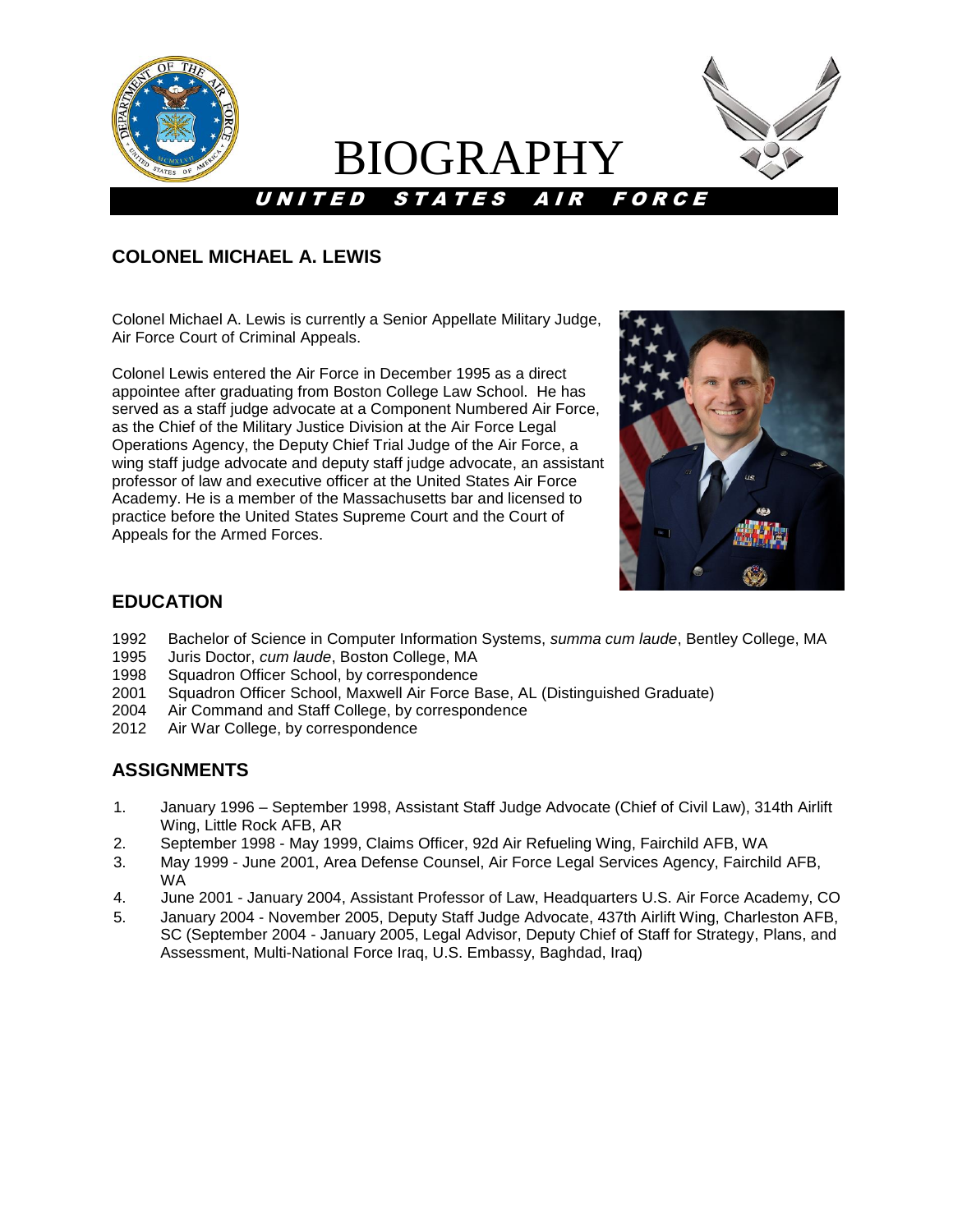

# BIOGRAPHY



## **COLONEL MICHAEL A. LEWIS**

Colonel Michael A. Lewis is currently a Senior Appellate Military Judge, Air Force Court of Criminal Appeals.

Colonel Lewis entered the Air Force in December 1995 as a direct appointee after graduating from Boston College Law School. He has served as a staff judge advocate at a Component Numbered Air Force, as the Chief of the Military Justice Division at the Air Force Legal Operations Agency, the Deputy Chief Trial Judge of the Air Force, a wing staff judge advocate and deputy staff judge advocate, an assistant professor of law and executive officer at the United States Air Force Academy. He is a member of the Massachusetts bar and licensed to practice before the United States Supreme Court and the Court of Appeals for the Armed Forces.



### **EDUCATION**

- 1992 Bachelor of Science in Computer Information Systems, *summa cum laude*, Bentley College, MA
- 1995 Juris Doctor, *cum laude*, Boston College, MA
- 1998 Squadron Officer School, by correspondence
- 2001 Squadron Officer School, Maxwell Air Force Base, AL (Distinguished Graduate)
- 2004 Air Command and Staff College, by correspondence
- 2012 Air War College, by correspondence

### **ASSIGNMENTS**

- 1. January 1996 September 1998, Assistant Staff Judge Advocate (Chief of Civil Law), 314th Airlift Wing, Little Rock AFB, AR
- 2. September 1998 May 1999, Claims Officer, 92d Air Refueling Wing, Fairchild AFB, WA
- 3. May 1999 June 2001, Area Defense Counsel, Air Force Legal Services Agency, Fairchild AFB, WA
- 4. June 2001 January 2004, Assistant Professor of Law, Headquarters U.S. Air Force Academy, CO
- 5. January 2004 November 2005, Deputy Staff Judge Advocate, 437th Airlift Wing, Charleston AFB, SC (September 2004 - January 2005, Legal Advisor, Deputy Chief of Staff for Strategy, Plans, and Assessment, Multi-National Force Iraq, U.S. Embassy, Baghdad, Iraq)